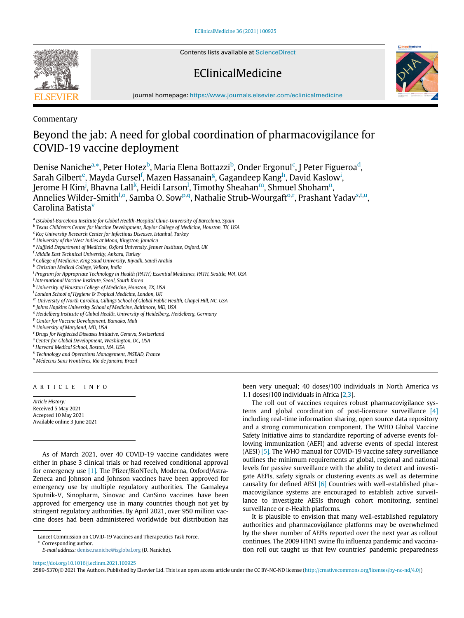Contents lists available at [ScienceDirect](http://www.ScienceDirect.com)

# EClinicalMedicine



journal homepage: [https://www.journals.elsevier.com/eclinicalmedicine](http://https://www.journals.elsevier.com/eclinicalmedicine)

Commentary

# Beyond the jab: A need for global coordination of pharmacovigilance for COVID-19 vaccine deployment

Denise N[a](#page-0-0)niche<sup>a,</sup>[\\*](#page-0-1), Peter Hotez<sup>[b](#page-0-2)</sup>, Maria Elena Bottazzi<sup>b</sup>, Onder Ergonul<sup>[c](#page-0-3)</sup>, J Peter Figueroa<sup>[d](#page-0-4)</sup>, Sarah Gilb[e](#page-0-5)rt<sup>e</sup>, Mayda Gursel<sup>[f](#page-0-6)</sup>, Mazen Hassanain<sup>[g](#page-0-7)</sup>, Gagandeep Kang<sup>[h](#page-0-8)</sup>, Dav[i](#page-0-9)d Kaslow<sup>i</sup>, Jerome H Kim<sup>[j](#page-0-10)</sup>, Bhavna Lall<sup>[k](#page-0-11)</sup>, Heidi Larson<sup>[l](#page-0-12)</sup>, Ti[m](#page-0-13)othy Sheahan<sup>m</sup>, Shmuel Shoham<sup>n</sup>, Annelies Wilder-Smith<sup>[l,](#page-0-12)[o](#page-0-15)</su[p](#page-0-16)>, Samba O. Sow<sup>p[,q](#page-0-17)</sup>, Nathalie St[r](#page-0-18)ub-Wourgaft<sup>o,r</sup>, Prashant Yadav<sup>[s,](#page-0-19)[t](#page-0-20)[,u](#page-0-21)</sup>, Carolina Batista[v](#page-0-22)

<span id="page-0-0"></span>a ISGlobal-Barcelona Institute for Global Health-Hospital Clinic-University of Barcelona, Spain

- <span id="page-0-2"></span><sup>b</sup> Texas Children's Center for Vaccine Development, Baylor College of Medicine, Houston, TX, USA
- <span id="page-0-3"></span> $c$  Koc University Research Center for Infectious Diseases, Istanbul, Turkey
- <span id="page-0-5"></span><span id="page-0-4"></span><sup>d</sup> University of the West Indies at Mona, Kingston, Jamaica
- <sup>e</sup> Nuffield Department of Medicine, Oxford University, Jenner Institute, Oxford, UK
- <sup>f</sup> Middle East Technical University, Ankara, Turkey
- <span id="page-0-7"></span><span id="page-0-6"></span><sup>g</sup> College of Medicine, King Saud University, Riyadh, Saudi Arabia
- <span id="page-0-8"></span>h Christian Medical College, Vellore, India

<span id="page-0-9"></span><sup>i</sup> Program for Appropriate Technology in Health (PATH) Essential Medicines, PATH, Seattle, WA, USA

- <span id="page-0-10"></span><sup>i</sup> International Vaccine Institute, Seoul, South Korea
- <span id="page-0-11"></span><sup>k</sup> University of Houston College of Medicine, Houston, TX, USA
- <span id="page-0-12"></span><sup>l</sup> London School of Hygiene & Tropical Medicine, London, UK
- <span id="page-0-13"></span><sup>m</sup> University of North Carolina, Gillings School of Global Public Health, Chapel Hill, NC, USA
- <span id="page-0-14"></span><sup>n</sup> Johns Hopkins University School of Medicine, Baltimore, MD, USA
- <span id="page-0-15"></span><sup>o</sup> Heidelberg Institute of Global Health, University of Heidelberg, Heidelberg, Germany
- <span id="page-0-16"></span><sup>p</sup> Center for Vaccine Development, Bamako, Mali
- <span id="page-0-17"></span><sup>q</sup> University of Maryland, MD, USA
- <span id="page-0-18"></span><sup>r</sup> Drugs for Neglected Diseases Initiative, Geneva, Switzerland
- <span id="page-0-19"></span><sup>s</sup> Center for Global Development, Washington, DC, USA
- <span id="page-0-20"></span>t Harvard Medical School, Boston, MA, USA
- <span id="page-0-21"></span><sup>u</sup> Technology and Operations Management, INSEAD, France
- <span id="page-0-22"></span><sup>v</sup> Médecins Sans Frontières, Rio de Janeiro, Brazil

### ARTICLE INFO

Article History: Received 5 May 2021 Accepted 10 May 2021 Available online 3 June 2021

As of March 2021, over 40 COVID-19 vaccine candidates were either in phase 3 clinical trials or had received conditional approval for emergency use [\[1\]](#page-1-0). The Pfizer/BioNTech, Moderna, Oxford/Astra-Zeneca and Johnson and Johnson vaccines have been approved for emergency use by multiple regulatory authorities. The Gamaleya Sputnik-V, Sinopharm, Sinovac and CanSino vaccines have been approved for emergency use in many countries though not yet by stringent regulatory authorities. By April 2021, over 950 million vaccine doses had been administered worldwide but distribution has been very unequal; 40 doses/100 individuals in North America vs 1.1 doses/100 individuals in Africa [\[2,](#page-1-1)[3](#page-1-2)].

The roll out of vaccines requires robust pharmacovigilance systems and global coordination of post-licensure surveillance [\[4\]](#page-1-3) including real-time information sharing, open source data repository and a strong communication component. The WHO Global Vaccine Safety Initiative aims to standardize reporting of adverse events following immunization (AEFI) and adverse events of special interest (AESI) [\[5\].](#page-1-4) The WHO manual for COVID-19 vaccine safety surveillance outlines the minimum requirements at global, regional and national levels for passive surveillance with the ability to detect and investigate AEFIs, safety signals or clustering events as well as determine causality for defined AESI [\[6\]](#page-2-0) Countries with well-established pharmacovigilance systems are encouraged to establish active surveillance to investigate AESIs through cohort monitoring, sentinel surveillance or e-Health platforms.

It is plausible to envision that many well-established regulatory authorities and pharmacovigilance platforms may be overwhelmed by the sheer number of AEFIs reported over the next year as rollout continues. The 2009 H1N1 swine flu influenza pandemic and vaccination roll out taught us that few countries' pandemic preparedness

<https://doi.org/10.1016/j.eclinm.2021.100925>

2589-5370/© 2021 The Authors. Published by Elsevier Ltd. This is an open access article under the CC BY-NC-ND license [\(http://creativecommons.org/licenses/by-nc-nd/4.0/](http://creativecommons.org/licenses/by-nc-nd/4.0/))



<span id="page-0-1"></span>Lancet Commission on COVID-19 Vaccines and Therapeutics Task Force.

Corresponding author.

E-mail address: [denise.naniche@isglobal.org](mailto:denise.naniche@isglobal.org) (D. Naniche).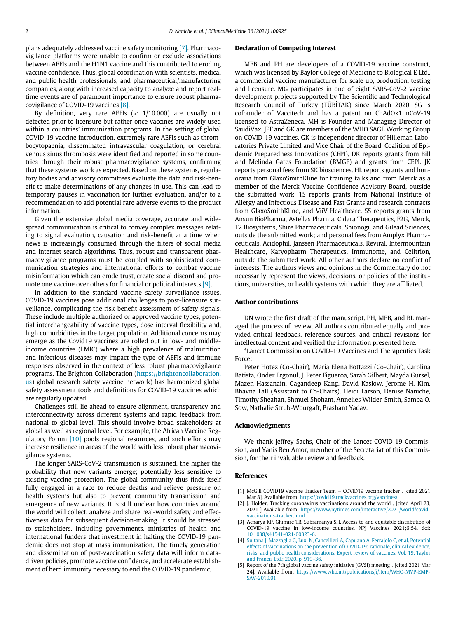plans adequately addressed vaccine safety monitoring [\[7\].](#page-2-1) Pharmacovigilance platforms were unable to confirm or exclude associations between AEFIs and the H1N1 vaccine and this contributed to eroding vaccine confidence. Thus, global coordination with scientists, medical and public health professionals, and pharmaceutical/manufacturing companies, along with increased capacity to analyze and report realtime events are of paramount importance to ensure robust pharmacovigilance of COVID-19 vaccines [\[8\].](#page-2-2)

By definition, very rare AEFIs  $\left( < 1/10.000 \right)$  are usually not detected prior to licensure but rather once vaccines are widely used within a countries' immunization programs. In the setting of global COVID-19 vaccine introduction, extremely rare AEFIs such as thrombocytopaenia, disseminated intravascular coagulation, or cerebral venous sinus thrombosis were identified and reported in some countries through their robust pharmacovigilance systems, confirming that these systems work as expected. Based on these systems, regulatory bodies and advisory committees evaluate the data and risk-benefit to make determinations of any changes in use. This can lead to temporary pauses in vaccination for further evaluation, and/or to a recommendation to add potential rare adverse events to the product information.

Given the extensive global media coverage, accurate and widespread communication is critical to convey complex messages relating to signal evaluation, causation and risk-benefit at a time when news is increasingly consumed through the filters of social media and internet search algorithms. Thus, robust and transparent pharmacovigilance programs must be coupled with sophisticated communication strategies and international efforts to combat vaccine misinformation which can erode trust, create social discord and promote one vaccine over others for financial or political interests [\[9\].](#page-2-3)

In addition to the standard vaccine safety surveillance issues, COVID-19 vaccines pose additional challenges to post-licensure surveillance, complicating the risk-benefit assessment of safety signals. These include multiple authorized or approved vaccine types, potential interchangeability of vaccine types, dose interval flexibility and, high comorbidities in the target population. Additional concerns may emerge as the Covid19 vaccines are rolled out in low- and middleincome countries (LMIC) where a high prevalence of malnutrition and infectious diseases may impact the type of AEFIs and immune responses observed in the context of less robust pharmacovigilance programs. The Brighton Collaboration ([https://brightoncollaboration.](https://brightoncollaboration.us) [us\)](https://brightoncollaboration.us) global research safety vaccine network) has harmonized global safety assessment tools and definitions for COVID-19 vaccines which are regularly updated.

Challenges still lie ahead to ensure alignment, transparency and interconnectivity across different systems and rapid feedback from national to global level. This should involve broad stakeholders at global as well as regional level. For example, the African Vaccine Reg-ulatory Forum [\[10\]](#page-2-4) pools regional resources, and such efforts may increase resilience in areas of the world with less robust pharmacovigilance systems.

<span id="page-1-4"></span><span id="page-1-3"></span><span id="page-1-2"></span><span id="page-1-1"></span><span id="page-1-0"></span>The longer SARS-CoV-2 transmission is sustained, the higher the probability that new variants emerge; potentially less sensitive to existing vaccine protection. The global community thus finds itself fully engaged in a race to reduce deaths and relieve pressure on health systems but also to prevent community transmission and emergence of new variants. It is still unclear how countries around the world will collect, analyze and share real-world safety and effectiveness data for subsequent decision-making. It should be stressed to stakeholders, including governments, ministries of health and international funders that investment in halting the COVID-19 pandemic does not stop at mass immunization. The timely generation and dissemination of post-vaccination safety data will inform datadriven policies, promote vaccine confidence, and accelerate establishment of herd immunity necessary to end the COVID-19 pandemic.

#### Declaration of Competing Interest

MEB and PH are developers of a COVID-19 vaccine construct, which was licensed by Baylor College of Medicine to Biological E Ltd., a commercial vaccine manufacturer for scale up, production, testing and licensure. MG participates in one of eight SARS-CoV-2 vaccine development projects supported by The Scientific and Technological Research Council of Turkey (TÜBİTAK) since March 2020. SG is cofounder of Vaccitech and has a patent on ChAdOx1 nCoV-19 licensed to AstraZeneca. MH is Founder and Managing Director of SaudiVax. JPF and GK are members of the WHO SAGE Working Group on COVID-19 vaccines. GK is independent director of Hilleman Laboratories Private Limited and Vice Chair of the Board, Coalition of Epidemic Preparedness Innovations (CEPI). DK reports grants from Bill and Melinda Gates Foundation (BMGF) and grants from CEPI. JK reports personal fees from SK biosciences. HL reports grants and honoraria from GlaxoSmithKline for training talks and from Merck as a member of the Merck Vaccine Confidence Advisory Board, outside the submitted work. TS reports grants from National Institute of Allergy and Infectious Disease and Fast Grants and research contracts from GlaxoSmithKline, and ViiV Healthcare. SS reports grants from Ansun BioPharma, Astellas Pharma, Cidara Therapeutics, F2G, Merck, T2 Biosystems, Shire Pharmaceuticals, Shionogi, and Gilead Sciences, outside the submitted work; and personal fees from Amplyx Pharmaceuticals, Acidophil, Janssen Pharmaceuticals, Reviral, Intermountain Healthcare, Karyopharm Therapeutics, Immunome, and Celltrion, outside the submitted work. All other authors declare no conflict of interests. The authors views and opinions in the Commentary do not necessarily represent the views, decisions, or policies of the institutions, universities, or health systems with which they are affiliated.

## Author contributions

DN wrote the first draft of the manuscript. PH, MEB, and BL managed the process of review. All authors contributed equally and provided critical feedback, reference sources, and critical revisions for intellectual content and verified the information presented here.

\*Lancet Commission on COVID-19 Vaccines and Therapeutics Task Force:

Peter Hotez (Co-Chair), Maria Elena Bottazzi (Co-Chair), Carolina Batista, Onder Ergonul, J. Peter Figueroa, Sarah Gilbert, Mayda Gursel, Mazen Hassanain, Gagandeep Kang, David Kaslow, Jerome H. Kim, Bhavna Lall (Assistant to Co-Chairs), Heidi Larson, Denise Naniche, Timothy Sheahan, Shmuel Shoham, Annelies Wilder-Smith, Samba O. Sow, Nathalie Strub-Wourgaft, Prashant Yadav.

#### Acknowledgments

We thank Jeffrey Sachs, Chair of the Lancet COVID-19 Commission, and Yanis Ben Amor, member of the Secretariat of this Commission, for their invaluable review and feedback.

### References

- [1] McGill COVID19 Vaccine Tracker Team COVID19 vaccine tracker . [cited 2021 Mar 8]. Available from: <https://covid19.trackvaccines.org/vaccines/>
- [2] J. Holder. Tracking coronavirus vaccinations around the world . [cited April 23, 2021 ] Available from: [https://www.nytimes.com/interactive/2021/world/covid](https://www.nytimes.com/interactive/2021/world/covid-vaccinations-tracker.html)[vaccinations-tracker.html](https://www.nytimes.com/interactive/2021/world/covid-vaccinations-tracker.html)
- [3] Acharya KP, Ghimire TR, Subramanya SH. Access to and equitable distribution of COVID-19 vaccine in low-income countries. NPJ Vaccines 2021;6:54. doi: [10.1038/s41541-021-00323-6.](https://doi.org/10.1038/s41541-021-00323-6)
- [4] [Sultana J, Mazzaglia G, Luxi N, Cancellieri A, Capuano A, Ferrajolo C, et al. Potential](http://refhub.elsevier.com/S2589-5370(21)00205-4/sbref0004) [effects of vaccinations on the prevention of COVID-19: rationale, clinical evidence,](http://refhub.elsevier.com/S2589-5370(21)00205-4/sbref0004) [risks, and public health considerations. Expert review of vaccines, Vol. 19. Taylor](http://refhub.elsevier.com/S2589-5370(21)00205-4/sbref0004) [and Francis Ltd.; 2020. p. 919](http://refhub.elsevier.com/S2589-5370(21)00205-4/sbref0004)–36.
- [5] Report of the 7th global vaccine safety initiative (GVSI) meeting . [cited 2021 Mar 24]. Available from: [https://www.who.int/publications/i/item/WHO-MVP-EMP-](https://www.who.int/publications/i/item/WHO-MVP-EMP-SAV-2019.01)[SAV-2019.01](https://www.who.int/publications/i/item/WHO-MVP-EMP-SAV-2019.01)